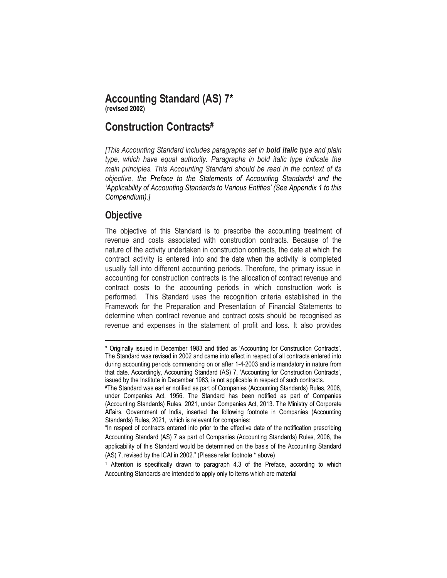### **Accounting Standard (AS) 7\* (revised 2002)**

# **Construction Contracts#**

*[This Accounting Standard includes paragraphs set in bold italic type and plain type, which have equal authority. Paragraphs in bold italic type indicate the main principles. This Accounting Standard should be read in the context of its objective, the Preface to the Statements of Accounting Standards<sup>1</sup> and the 'Applicability of Accounting Standards to Various Entities' (See Appendix 1 to this Compendium).]*

## **Objective**

 $\overline{\phantom{a}}$ 

The objective of this Standard is to prescribe the accounting treatment of revenue and costs associated with construction contracts. Because of the nature of the activity undertaken in construction contracts, the date at which the contract activity is entered into and the date when the activity is completed usually fall into different accounting periods. Therefore, the primary issue in accounting for construction contracts is the allocation of contract revenue and contract costs to the accounting periods in which construction work is performed. This Standard uses the recognition criteria established in the Framework for the Preparation and Presentation of Financial Statements to determine when contract revenue and contract costs should be recognised as revenue and expenses in the statement of profit and loss. It also provides

<sup>\*</sup> Originally issued in December 1983 and titled as 'Accounting for Construction Contracts'. The Standard was revised in 2002 and came into effect in respect of all contracts entered into during accounting periods commencing on or after 1-4-2003 and is mandatory in nature from that date. Accordingly, Accounting Standard (AS) 7, 'Accounting for Construction Contracts', issued by the Institute in December 1983, is not applicable in respect of such contracts.

<sup>#</sup>The Standard was earlier notified as part of Companies (Accounting Standards) Rules, 2006, under Companies Act, 1956. The Standard has been notified as part of Companies (Accounting Standards) Rules, 2021, under Companies Act, 2013. The Ministry of Corporate Affairs, Government of India, inserted the following footnote in Companies (Accounting Standards) Rules, 2021, which is relevant for companies:

<sup>&</sup>quot;In respect of contracts entered into prior to the effective date of the notification prescribing Accounting Standard (AS) 7 as part of Companies (Accounting Standards) Rules, 2006, the applicability of this Standard would be determined on the basis of the Accounting Standard (AS) 7, revised by the ICAI in 2002." (Please refer footnote \* above)

<sup>1</sup> Attention is specifically drawn to paragraph 4.3 of the Preface, according to which Accounting Standards are intended to apply only to items which are material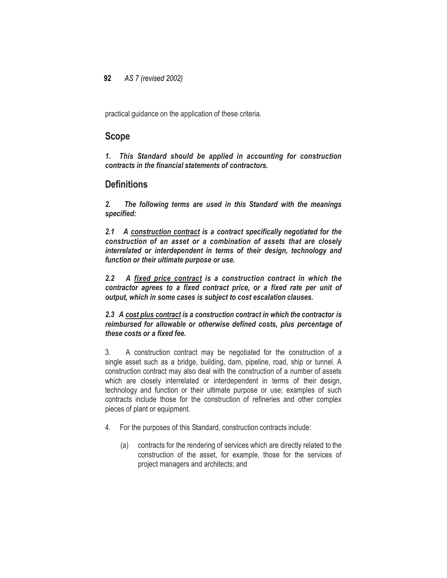practical guidance on the application of these criteria.

### **Scope**

*1. This Standard should be applied in accounting for construction contracts in the financial statements of contractors.*

## **Definitions**

*2. The following terms are used in this Standard with the meanings specified:*

*2.1 A construction contract is a contract specifically negotiated for the construction of an asset or a combination of assets that are closely interrelated or interdependent in terms of their design, technology and function or their ultimate purpose or use.*

*2.2 A fixed price contract is a construction contract in which the contractor agrees to a fixed contract price, or a fixed rate per unit of output, which in some cases is subject to cost escalation clauses.*

*2.3 A cost plus contract is a construction contract in which the contractor is reimbursed for allowable or otherwise defined costs, plus percentage of these costs or a fixed fee.*

3. A construction contract may be negotiated for the construction of a single asset such as a bridge, building, dam, pipeline, road, ship or tunnel. A construction contract may also deal with the construction of a number of assets which are closely interrelated or interdependent in terms of their design, technology and function or their ultimate purpose or use; examples of such contracts include those for the construction of refineries and other complex pieces of plant or equipment.

- 4. For the purposes of this Standard, construction contracts include:
	- (a) contracts for the rendering of services which are directly related to the construction of the asset, for example, those for the services of project managers and architects; and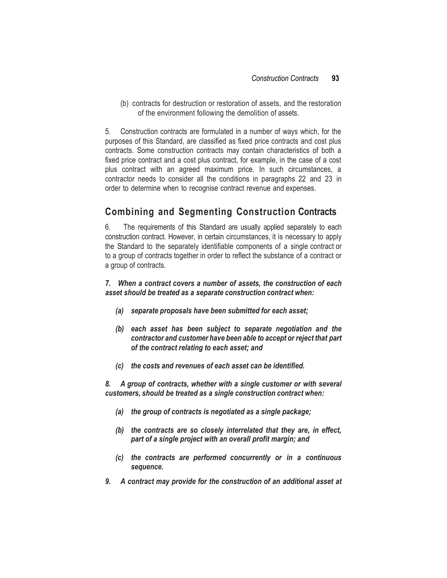(b) contracts for destruction or restoration of assets, and the restoration of the environment following the demolition of assets.

5. Construction contracts are formulated in a number of ways which, for the purposes of this Standard, are classified as fixed price contracts and cost plus contracts. Some construction contracts may contain characteristics of both a fixed price contract and a cost plus contract, for example, in the case of a cost plus contract with an agreed maximum price. In such circumstances, a contractor needs to consider all the conditions in paragraphs 22 and 23 in order to determine when to recognise contract revenue and expenses.

## **Combining and Segmenting Construction Contracts**

6. The requirements of this Standard are usually applied separately to each construction contract. However, in certain circumstances, it is necessary to apply the Standard to the separately identifiable components of a single contract or to a group of contracts together in order to reflect the substance of a contract or a group of contracts.

#### *7. When a contract covers a number of assets, the construction of each asset should be treated as a separate construction contract when:*

- *(a) separate proposals have been submitted for each asset;*
- *(b) each asset has been subject to separate negotiation and the contractor and customer have been able to accept or reject that part of the contract relating to each asset; and*
- *(c) the costs and revenues of each asset can be identified.*

*8. A group of contracts, whether with a single customer or with several customers, should be treated as a single construction contract when:*

- *(a) the group of contracts is negotiated as a single package;*
- *(b) the contracts are so closely interrelated that they are, in effect, part of a single project with an overall profit margin; and*
- *(c) the contracts are performed concurrently or in a continuous sequence.*
- *9. A contract may provide for the construction of an additional asset at*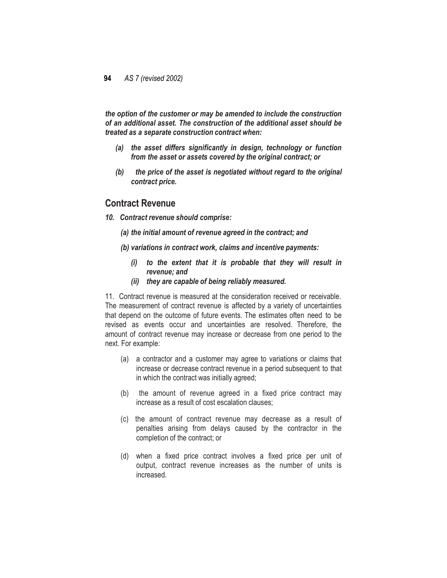*the option of the customer or may be amended to include the construction of an additional asset. The construction of the additional asset should be treated as a separate construction contract when:*

- *(a) the asset differs significantly in design, technology or function from the asset or assets covered by the original contract; or*
- *(b) the price of the asset is negotiated without regard to the original contract price.*

### **Contract Revenue**

- *10. Contract revenue should comprise:*
	- *(a) the initial amount of revenue agreed in the contract; and*
	- *(b) variations in contract work, claims and incentive payments:*
		- *(i) to the extent that it is probable that they will result in revenue; and*
		- *(ii) they are capable of being reliably measured.*

11. Contract revenue is measured at the consideration received or receivable. The measurement of contract revenue is affected by a variety of uncertainties that depend on the outcome of future events. The estimates often need to be revised as events occur and uncertainties are resolved. Therefore, the amount of contract revenue may increase or decrease from one period to the next. For example:

- (a) a contractor and a customer may agree to variations or claims that increase or decrease contract revenue in a period subsequent to that in which the contract was initially agreed;
- (b) the amount of revenue agreed in a fixed price contract may increase as a result of cost escalation clauses;
- (c) the amount of contract revenue may decrease as a result of penalties arising from delays caused by the contractor in the completion of the contract; or
- (d) when a fixed price contract involves a fixed price per unit of output, contract revenue increases as the number of units is increased.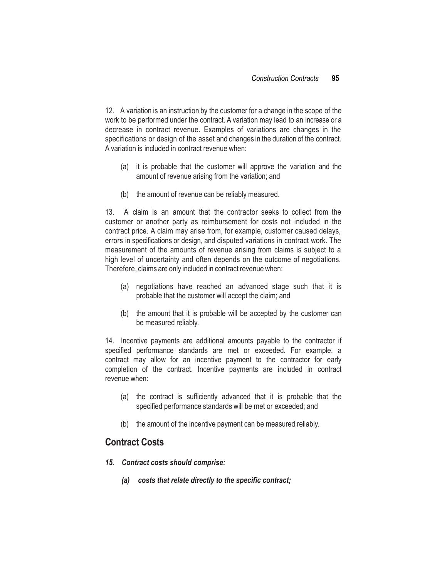12. A variation is an instruction by the customer for a change in the scope of the work to be performed under the contract. A variation may lead to an increase or a decrease in contract revenue. Examples of variations are changes in the specifications or design of the asset and changes in the duration of the contract. A variation is included in contract revenue when:

- (a) it is probable that the customer will approve the variation and the amount of revenue arising from the variation; and
- (b) the amount of revenue can be reliably measured.

13. A claim is an amount that the contractor seeks to collect from the customer or another party as reimbursement for costs not included in the contract price. A claim may arise from, for example, customer caused delays, errors in specifications or design, and disputed variations in contract work. The measurement of the amounts of revenue arising from claims is subject to a high level of uncertainty and often depends on the outcome of negotiations. Therefore, claims are only included in contract revenue when:

- (a) negotiations have reached an advanced stage such that it is probable that the customer will accept the claim; and
- (b) the amount that it is probable will be accepted by the customer can be measured reliably.

14. Incentive payments are additional amounts payable to the contractor if specified performance standards are met or exceeded. For example, a contract may allow for an incentive payment to the contractor for early completion of the contract. Incentive payments are included in contract revenue when:

- (a) the contract is sufficiently advanced that it is probable that the specified performance standards will be met or exceeded; and
- (b) the amount of the incentive payment can be measured reliably.

### **Contract Costs**

- *15. Contract costs should comprise:*
	- *(a) costs that relate directly to the specific contract;*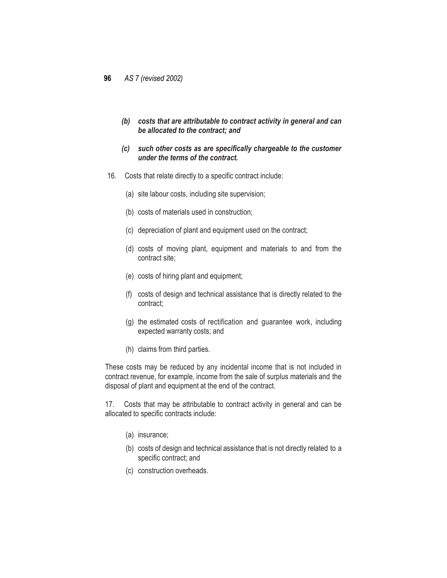- *(b) costs that are attributable to contract activity in general and can be allocated to the contract; and*
- *(c) such other costs as are specifically chargeable to the customer under the terms of the contract.*
- 16. Costs that relate directly to a specific contract include:
	- (a) site labour costs, including site supervision;
	- (b) costs of materials used in construction;
	- (c) depreciation of plant and equipment used on the contract;
	- (d) costs of moving plant, equipment and materials to and from the contract site;
	- (e) costs of hiring plant and equipment;
	- (f) costs of design and technical assistance that is directly related to the contract;
	- (g) the estimated costs of rectification and guarantee work, including expected warranty costs; and
	- (h) claims from third parties.

These costs may be reduced by any incidental income that is not included in contract revenue, for example, income from the sale of surplus materials and the disposal of plant and equipment at the end of the contract.

17. Costs that may be attributable to contract activity in general and can be allocated to specific contracts include:

- (a) insurance;
- (b) costs of design and technical assistance that is not directly related to a specific contract; and
- (c) construction overheads.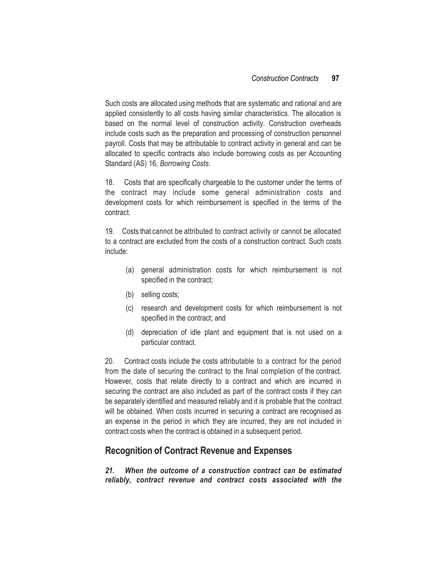Such costs are allocated using methods that are systematic and rational and are applied consistently to all costs having similar characteristics. The allocation is based on the normal level of construction activity. Construction overheads include costs such as the preparation and processing of construction personnel payroll. Costs that may be attributable to contract activity in general and can be allocated to specific contracts also include borrowing costs as per Accounting Standard (AS) 16, *Borrowing Costs*.

18. Costs that are specifically chargeable to the customer under the terms of the contract may include some general administration costs and development costs for which reimbursement is specified in the terms of the contract.

19. Costs that cannot be attributed to contract activity or cannot be allocated to a contract are excluded from the costs of a construction contract. Such costs include:

- (a) general administration costs for which reimbursement is not specified in the contract;
- (b) selling costs;
- (c) research and development costs for which reimbursement is not specified in the contract; and
- (d) depreciation of idle plant and equipment that is not used on a particular contract.

20. Contract costs include the costs attributable to a contract for the period from the date of securing the contract to the final completion of the contract. However, costs that relate directly to a contract and which are incurred in securing the contract are also included as part of the contract costs if they can be separately identified and measured reliably and it is probable that the contract will be obtained. When costs incurred in securing a contract are recognised as an expense in the period in which they are incurred, they are not included in contract costs when the contract is obtained in a subsequent period.

### **Recognition of Contract Revenue and Expenses**

*21. When the outcome of a construction contract can be estimated reliably, contract revenue and contract costs associated with the*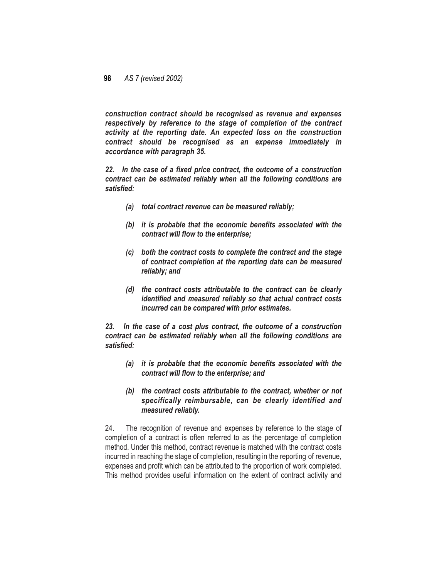*construction contract should be recognised as revenue and expenses respectively by reference to the stage of completion of the contract activity at the reporting date. An expected loss on the construction contract should be recognised as an expense immediately in accordance with paragraph 35.*

*22. In the case of a fixed price contract, the outcome of a construction contract can be estimated reliably when all the following conditions are satisfied:*

- *(a) total contract revenue can be measured reliably;*
- *(b) it is probable that the economic benefits associated with the contract will flow to the enterprise;*
- *(c) both the contract costs to complete the contract and the stage of contract completion at the reporting date can be measured reliably; and*
- *(d) the contract costs attributable to the contract can be clearly identified and measured reliably so that actual contract costs incurred can be compared with prior estimates.*

*23. In the case of a cost plus contract, the outcome of a construction contract can be estimated reliably when all the following conditions are satisfied:*

- *(a) it is probable that the economic benefits associated with the contract will flow to the enterprise; and*
- *(b) the contract costs attributable to the contract, whether or not specifically reimbursable, can be clearly identified and measured reliably.*

24. The recognition of revenue and expenses by reference to the stage of completion of a contract is often referred to as the percentage of completion method. Under this method, contract revenue is matched with the contract costs incurred in reaching the stage of completion, resulting in the reporting of revenue, expenses and profit which can be attributed to the proportion of work completed. This method provides useful information on the extent of contract activity and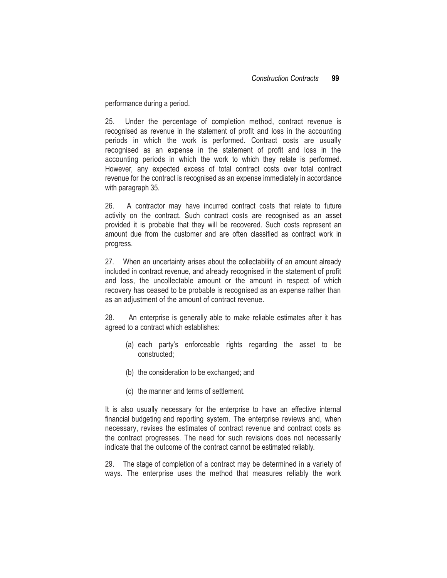performance during a period.

25. Under the percentage of completion method, contract revenue is recognised as revenue in the statement of profit and loss in the accounting periods in which the work is performed. Contract costs are usually recognised as an expense in the statement of profit and loss in the accounting periods in which the work to which they relate is performed. However, any expected excess of total contract costs over total contract revenue for the contract is recognised as an expense immediately in accordance with paragraph 35.

26. A contractor may have incurred contract costs that relate to future activity on the contract. Such contract costs are recognised as an asset provided it is probable that they will be recovered. Such costs represent an amount due from the customer and are often classified as contract work in progress.

27. When an uncertainty arises about the collectability of an amount already included in contract revenue, and already recognised in the statement of profit and loss, the uncollectable amount or the amount in respect of which recovery has ceased to be probable is recognised as an expense rather than as an adjustment of the amount of contract revenue.

28. An enterprise is generally able to make reliable estimates after it has agreed to a contract which establishes:

- (a) each party's enforceable rights regarding the asset to be constructed;
- (b) the consideration to be exchanged; and
- (c) the manner and terms of settlement.

It is also usually necessary for the enterprise to have an effective internal financial budgeting and reporting system. The enterprise reviews and, when necessary, revises the estimates of contract revenue and contract costs as the contract progresses. The need for such revisions does not necessarily indicate that the outcome of the contract cannot be estimated reliably.

29. The stage of completion of a contract may be determined in a variety of ways. The enterprise uses the method that measures reliably the work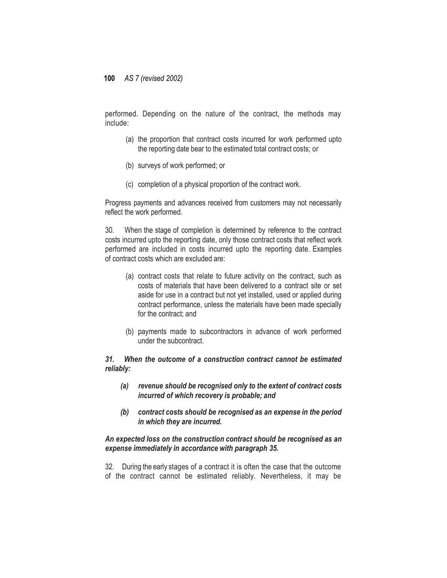performed. Depending on the nature of the contract, the methods may include:

- (a) the proportion that contract costs incurred for work performed upto the reporting date bear to the estimated total contract costs; or
- (b) surveys of work performed; or
- (c) completion of a physical proportion of the contract work.

Progress payments and advances received from customers may not necessarily reflect the work performed.

30. When the stage of completion is determined by reference to the contract costs incurred upto the reporting date, only those contract costs that reflect work performed are included in costs incurred upto the reporting date. Examples of contract costs which are excluded are:

- (a) contract costs that relate to future activity on the contract, such as costs of materials that have been delivered to a contract site or set aside for use in a contract but not yet installed, used or applied during contract performance, unless the materials have been made specially for the contract; and
- (b) payments made to subcontractors in advance of work performed under the subcontract.

#### *31. When the outcome of a construction contract cannot be estimated reliably:*

- *(a) revenue should be recognised only to the extent of contract costs incurred of which recovery is probable; and*
- *(b) contract costs should be recognised as an expense in the period in which they are incurred.*

#### *An expected loss on the construction contract should be recognised as an expense immediately in accordance with paragraph 35.*

32. During the early stages of a contract it is often the case that the outcome of the contract cannot be estimated reliably. Nevertheless, it may be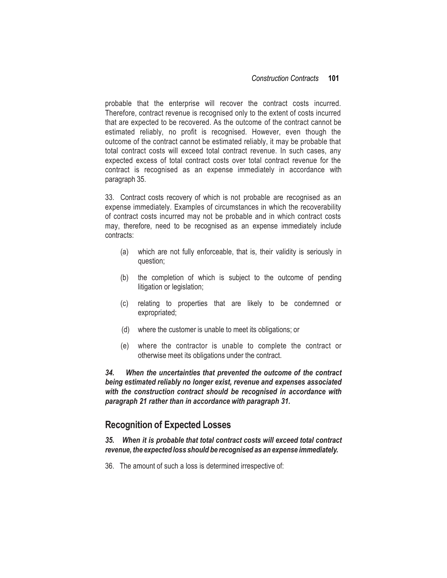probable that the enterprise will recover the contract costs incurred. Therefore, contract revenue is recognised only to the extent of costs incurred that are expected to be recovered. As the outcome of the contract cannot be estimated reliably, no profit is recognised. However, even though the outcome of the contract cannot be estimated reliably, it may be probable that total contract costs will exceed total contract revenue. In such cases, any expected excess of total contract costs over total contract revenue for the contract is recognised as an expense immediately in accordance with paragraph 35.

33. Contract costs recovery of which is not probable are recognised as an expense immediately. Examples of circumstances in which the recoverability of contract costs incurred may not be probable and in which contract costs may, therefore, need to be recognised as an expense immediately include contracts:

- (a) which are not fully enforceable, that is, their validity is seriously in question;
- (b) the completion of which is subject to the outcome of pending litigation or legislation;
- (c) relating to properties that are likely to be condemned or expropriated;
- (d) where the customer is unable to meet its obligations; or
- (e) where the contractor is unable to complete the contract or otherwise meet its obligations under the contract.

*34. When the uncertainties that prevented the outcome of the contract being estimated reliably no longer exist, revenue and expenses associated with the construction contract should be recognised in accordance with paragraph 21 rather than in accordance with paragraph 31.*

### **Recognition of Expected Losses**

*35. When it is probable that total contract costs will exceed total contract revenue, the expected loss should be recognised as an expense immediately.*

36. The amount of such a loss is determined irrespective of: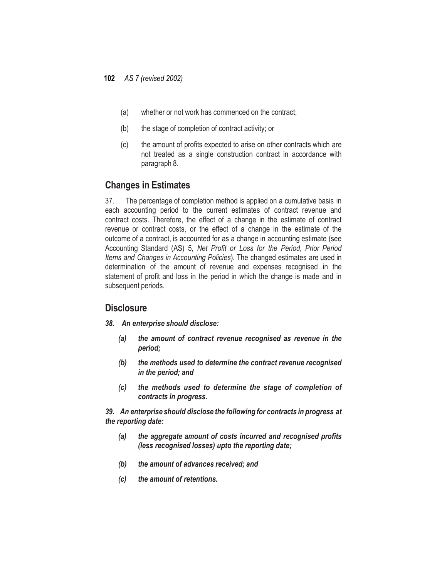- (a) whether or not work has commenced on the contract;
- (b) the stage of completion of contract activity; or
- (c) the amount of profits expected to arise on other contracts which are not treated as a single construction contract in accordance with paragraph 8.

### **Changes in Estimates**

37. The percentage of completion method is applied on a cumulative basis in each accounting period to the current estimates of contract revenue and contract costs. Therefore, the effect of a change in the estimate of contract revenue or contract costs, or the effect of a change in the estimate of the outcome of a contract, is accounted for as a change in accounting estimate (see Accounting Standard (AS) 5, *Net Profit or Loss for the Period, Prior Period Items and Changes in Accounting Policies*). The changed estimates are used in determination of the amount of revenue and expenses recognised in the statement of profit and loss in the period in which the change is made and in subsequent periods.

## **Disclosure**

- *38. An enterprise should disclose:*
	- *(a) the amount of contract revenue recognised as revenue in the period;*
	- *(b) the methods used to determine the contract revenue recognised in the period; and*
	- *(c) the methods used to determine the stage of completion of contracts in progress.*

*39. An enterprise should disclose the following for contracts in progress at the reporting date:*

- *(a) the aggregate amount of costs incurred and recognised profits (less recognised losses) upto the reporting date;*
- *(b) the amount of advances received; and*
- *(c) the amount of retentions.*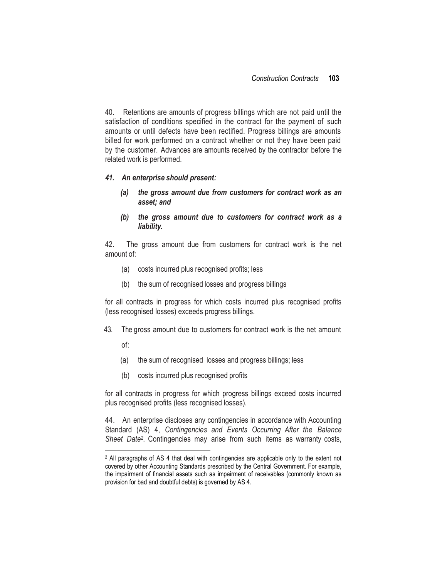40. Retentions are amounts of progress billings which are not paid until the satisfaction of conditions specified in the contract for the payment of such amounts or until defects have been rectified. Progress billings are amounts billed for work performed on a contract whether or not they have been paid by the customer. Advances are amounts received by the contractor before the related work is performed.

#### *41. An enterprise should present:*

- *(a) the gross amount due from customers for contract work as an asset; and*
- *(b) the gross amount due to customers for contract work as a liability.*

42. The gross amount due from customers for contract work is the net amount of:

- (a) costs incurred plus recognised profits; less
- (b) the sum of recognised losses and progress billings

for all contracts in progress for which costs incurred plus recognised profits (less recognised losses) exceeds progress billings.

- 43. The gross amount due to customers for contract work is the net amount
	- of:

 $\overline{a}$ 

- (a) the sum of recognised losses and progress billings; less
- (b) costs incurred plus recognised profits

for all contracts in progress for which progress billings exceed costs incurred plus recognised profits (less recognised losses).

44. An enterprise discloses any contingencies in accordance with Accounting Standard (AS) 4, *Contingencies and Events Occurring After the Balance Sheet Date<sup>2</sup>* . Contingencies may arise from such items as warranty costs,

<sup>2</sup> All paragraphs of AS 4 that deal with contingencies are applicable only to the extent not covered by other Accounting Standards prescribed by the Central Government. For example, the impairment of financial assets such as impairment of receivables (commonly known as provision for bad and doubtful debts) is governed by AS 4.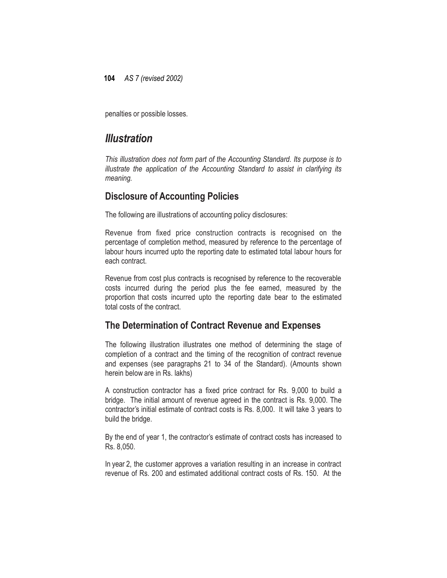penalties or possible losses.

## *Illustration*

*This illustration does not form part of the Accounting Standard. Its purpose is to illustrate the application of the Accounting Standard to assist in clarifying its meaning.*

## **Disclosure of Accounting Policies**

The following are illustrations of accounting policy disclosures:

Revenue from fixed price construction contracts is recognised on the percentage of completion method, measured by reference to the percentage of labour hours incurred upto the reporting date to estimated total labour hours for each contract.

Revenue from cost plus contracts is recognised by reference to the recoverable costs incurred during the period plus the fee earned, measured by the proportion that costs incurred upto the reporting date bear to the estimated total costs of the contract.

### **The Determination of Contract Revenue and Expenses**

The following illustration illustrates one method of determining the stage of completion of a contract and the timing of the recognition of contract revenue and expenses (see paragraphs 21 to 34 of the Standard). (Amounts shown herein below are in Rs. lakhs)

A construction contractor has a fixed price contract for Rs. 9,000 to build a bridge. The initial amount of revenue agreed in the contract is Rs. 9,000. The contractor's initial estimate of contract costs is Rs. 8,000. It will take 3 years to build the bridge.

By the end of year 1, the contractor's estimate of contract costs has increased to Rs. 8,050.

In year 2, the customer approves a variation resulting in an increase in contract revenue of Rs. 200 and estimated additional contract costs of Rs. 150. At the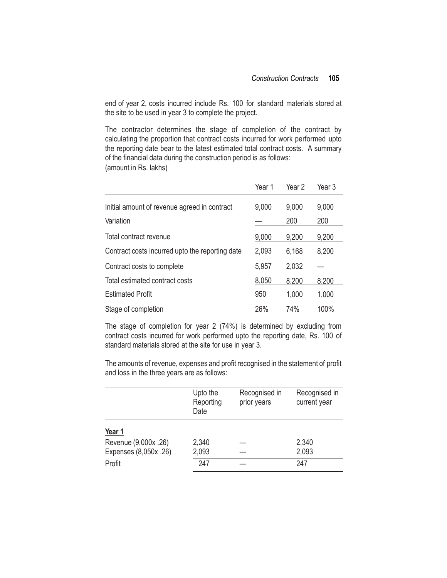end of year 2, costs incurred include Rs. 100 for standard materials stored at the site to be used in year 3 to complete the project.

The contractor determines the stage of completion of the contract by calculating the proportion that contract costs incurred for work performed upto the reporting date bear to the latest estimated total contract costs. A summary of the financial data during the construction period is as follows: (amount in Rs. lakhs)

|                                                 | Year 1 | Year 2 | Year 3 |
|-------------------------------------------------|--------|--------|--------|
| Initial amount of revenue agreed in contract    | 9,000  | 9,000  | 9,000  |
| Variation                                       |        | 200    | 200    |
| Total contract revenue                          | 9,000  | 9,200  | 9,200  |
| Contract costs incurred upto the reporting date | 2,093  | 6,168  | 8,200  |
| Contract costs to complete                      | 5,957  | 2,032  |        |
| Total estimated contract costs                  | 8,050  | 8.200  | 8.200  |
| <b>Estimated Profit</b>                         | 950    | 1,000  | 1,000  |
| Stage of completion                             | 26%    | 74%    | 100%   |

The stage of completion for year 2 (74%) is determined by excluding from contract costs incurred for work performed upto the reporting date, Rs. 100 of standard materials stored at the site for use in year 3.

The amounts of revenue, expenses and profit recognised in the statement of profit and loss in the three years are as follows:

|                                | Upto the<br>Reporting<br>Date | Recognised in<br>prior years | Recognised in<br>current year |
|--------------------------------|-------------------------------|------------------------------|-------------------------------|
| Year 1<br>Revenue (9,000x .26) | 2,340                         |                              | 2,340                         |
| Expenses (8,050x .26)          | 2,093                         |                              | 2,093                         |
| Profit                         | 247                           |                              | 247                           |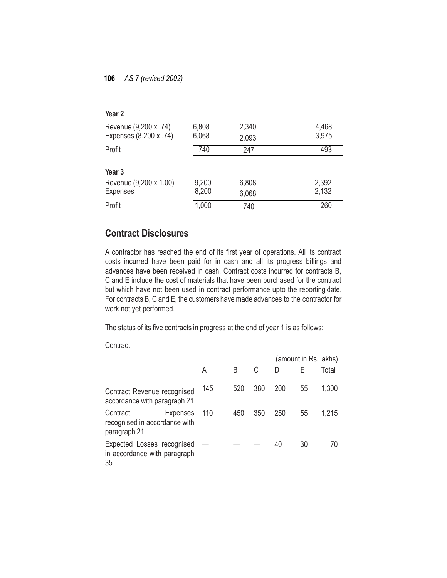| Year 2                 |       |       |       |
|------------------------|-------|-------|-------|
| Revenue (9,200 x .74)  | 6,808 | 2,340 | 4,468 |
| Expenses (8,200 x .74) | 6,068 | 2,093 | 3,975 |
| Profit                 | 740   | 247   | 493   |
|                        |       |       |       |
| Year 3                 |       |       |       |
| Revenue (9,200 x 1.00) | 9,200 | 6,808 | 2,392 |
| <b>Expenses</b>        | 8,200 | 6,068 | 2,132 |
| Profit                 | 1,000 | 740   | 260   |

## **Contract Disclosures**

A contractor has reached the end of its first year of operations. All its contract costs incurred have been paid for in cash and all its progress billings and advances have been received in cash. Contract costs incurred for contracts B, C and E include the cost of materials that have been purchased for the contract but which have not been used in contract performance upto the reporting date. For contracts B, C and E, the customers havemade advances to the contractor for work not yet performed.

The status of its five contracts in progress at the end of year 1 is as follows:

### **Contract**

|                                                                              |     |     |     |     |    | (amount in Rs. lakhs) |
|------------------------------------------------------------------------------|-----|-----|-----|-----|----|-----------------------|
|                                                                              | A   | Β   | С   |     |    | Total                 |
| Contract Revenue recognised<br>accordance with paragraph 21                  | 145 | 520 | 380 | 200 | 55 | 1,300                 |
| Contract<br><b>Expenses</b><br>recognised in accordance with<br>paragraph 21 | 110 | 450 | 350 | 250 | 55 | 1,215                 |
| Expected Losses recognised<br>in accordance with paragraph<br>35             |     |     |     | 40  | 30 | 70                    |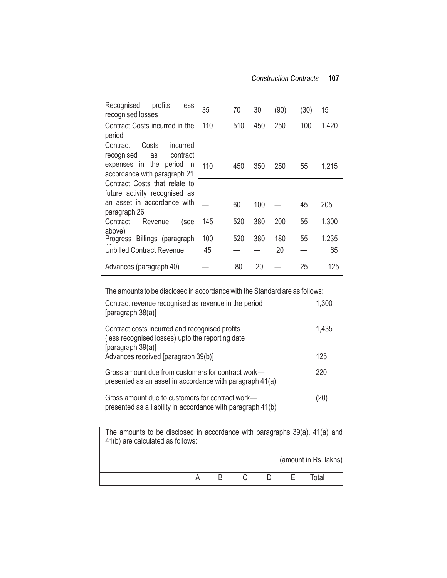| Recognised<br>profits<br>less<br>recognised losses                | 35  | 70  | 30  | (90) | (30) | 15    |
|-------------------------------------------------------------------|-----|-----|-----|------|------|-------|
| Contract Costs incurred in the<br>period                          | 110 | 510 | 450 | 250  | 100  | 1,420 |
| Contract<br>Costs<br>incurred<br>recognised<br>contract<br>as     |     |     |     |      |      |       |
| expenses in the<br>period<br>- in<br>accordance with paragraph 21 | 110 | 450 | 350 | 250  | 55   | 1,215 |
| Contract Costs that relate to<br>future activity recognised as    |     |     |     |      |      |       |
| an asset in accordance with<br>paragraph 26                       |     | 60  | 100 |      | 45   | 205   |
| Revenue<br>Contract<br>(see<br>above)                             | 145 | 520 | 380 | 200  | 55   | 1,300 |
| Progress Billings (paragraph                                      | 100 | 520 | 380 | 180  | 55   | 1,235 |
| <b>Unbilled Contract Revenue</b>                                  | 45  |     |     | 20   |      | 65    |
| Advances (paragraph 40)                                           |     | 80  | 20  |      | 25   | 125   |

The amounts to be disclosed in accordancewith the Standard are as follows:

| Contract revenue recognised as revenue in the period<br>[paragraph 38(a)]                                               | 1,300 |
|-------------------------------------------------------------------------------------------------------------------------|-------|
| Contract costs incurred and recognised profits<br>(less recognised losses) upto the reporting date<br>[paragraph 39(a)] | 1,435 |
| Advances received [paragraph 39(b)]                                                                                     | 125   |
| Gross amount due from customers for contract work-<br>presented as an asset in accordance with paragraph 41(a)          | 220   |
| Gross amount due to customers for contract work-<br>presented as a liability in accordance with paragraph 41(b)         | (20)  |

| The amounts to be disclosed in accordance with paragraphs 39(a), 41(a) and<br>41(b) are calculated as follows: |  |  |                       |       |  |
|----------------------------------------------------------------------------------------------------------------|--|--|-----------------------|-------|--|
|                                                                                                                |  |  | (amount in Rs. lakhs) |       |  |
|                                                                                                                |  |  |                       | Total |  |